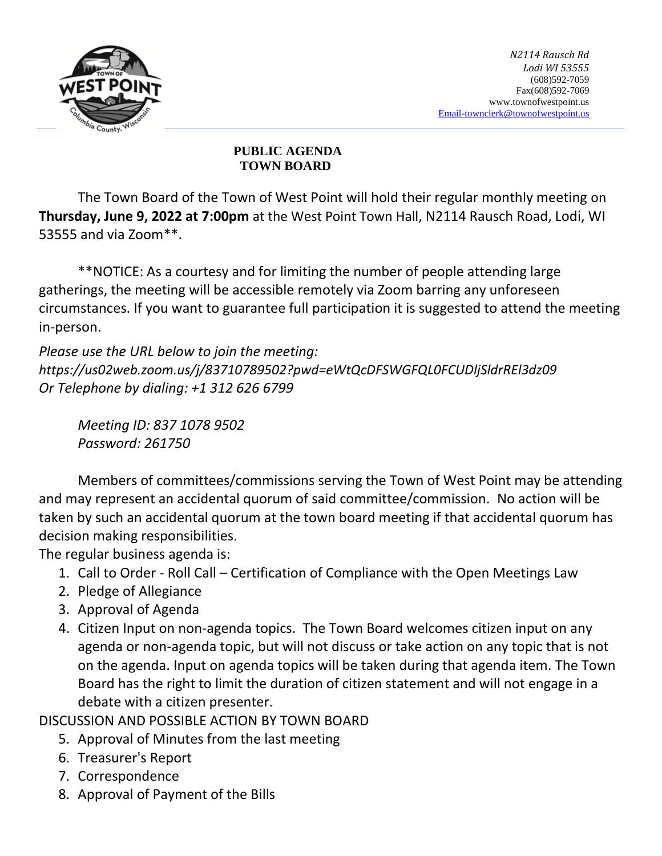

## **PUBLIC AGENDA TOWN BOARD**

The Town Board of the Town of West Point will hold their regular monthly meeting on **Thursday, June 9, 2022 at 7:00pm** at the West Point Town Hall, N2114 Rausch Road, Lodi, WI 53555 and via Zoom\*\*.

\*\*NOTICE: As a courtesy and for limiting the number of people attending large gatherings, the meeting will be accessible remotely via Zoom barring any unforeseen circumstances. If you want to guarantee full participation it is suggested to attend the meeting in-person.

*Please use the URL below to join the meeting: https://us02web.zoom.us/j/83710789502?pwd=eWtQcDFSWGFQL0FCUDljSldrREl3dz09 Or Telephone by dialing: +1 312 626 6799* 

*Meeting ID: 837 1078 9502 Password: 261750*

Members of committees/commissions serving the Town of West Point may be attending and may represent an accidental quorum of said committee/commission. No action will be taken by such an accidental quorum at the town board meeting if that accidental quorum has decision making responsibilities.

The regular business agenda is:

- 1. Call to Order Roll Call Certification of Compliance with the Open Meetings Law
- 2. Pledge of Allegiance
- 3. Approval of Agenda
- 4. Citizen Input on non-agenda topics. The Town Board welcomes citizen input on any agenda or non-agenda topic, but will not discuss or take action on any topic that is not on the agenda. Input on agenda topics will be taken during that agenda item. The Town Board has the right to limit the duration of citizen statement and will not engage in a debate with a citizen presenter.

DISCUSSION AND POSSIBLE ACTION BY TOWN BOARD

- 5. Approval of Minutes from the last meeting
- 6. Treasurer's Report
- 7. Correspondence
- 8. Approval of Payment of the Bills